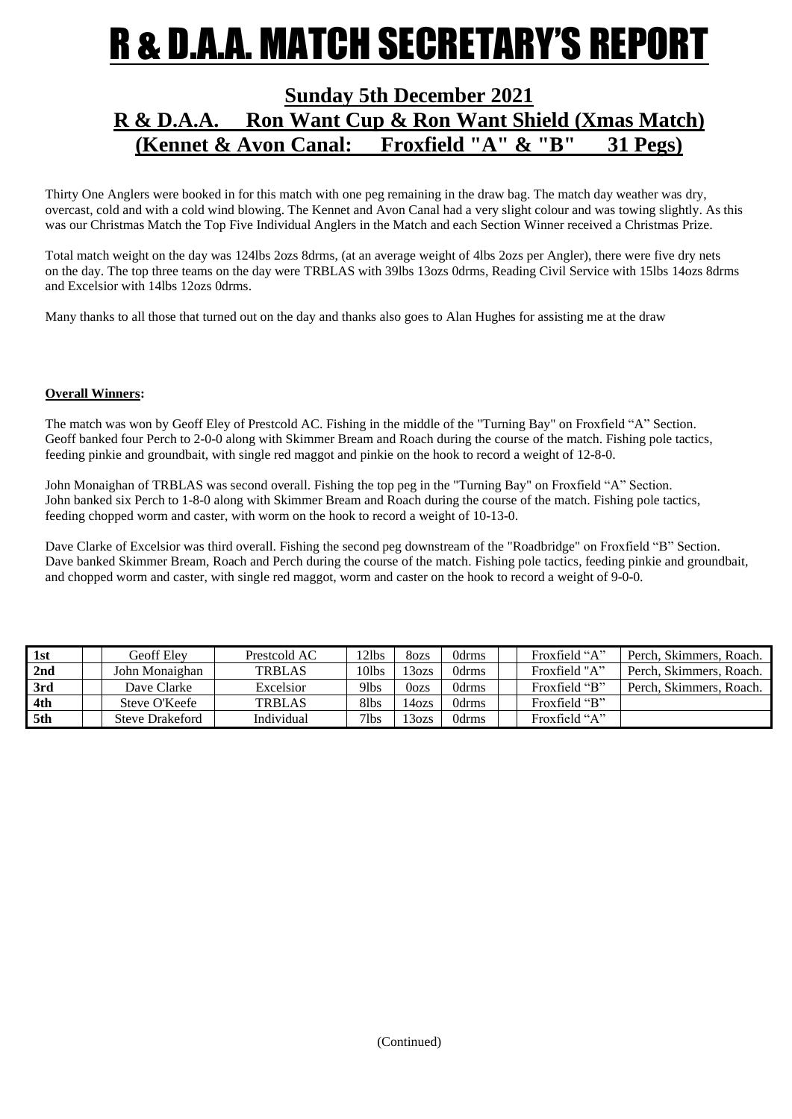### R & D.A.A. MATCH SECRETARY'S REPOI

### **Sunday 5th December 2021 R & D.A.A. Ron Want Cup & Ron Want Shield (Xmas Match) (Kennet & Avon Canal: Froxfield "A" & "B" 31 Pegs)**

Thirty One Anglers were booked in for this match with one peg remaining in the draw bag. The match day weather was dry, overcast, cold and with a cold wind blowing. The Kennet and Avon Canal had a very slight colour and was towing slightly. As this was our Christmas Match the Top Five Individual Anglers in the Match and each Section Winner received a Christmas Prize.

Total match weight on the day was 124lbs 2ozs 8drms, (at an average weight of 4lbs 2ozs per Angler), there were five dry nets on the day. The top three teams on the day were TRBLAS with 39lbs 13ozs 0drms, Reading Civil Service with 15lbs 14ozs 8drms and Excelsior with 14lbs 12ozs 0drms.

Many thanks to all those that turned out on the day and thanks also goes to Alan Hughes for assisting me at the draw

#### **Overall Winners:**

The match was won by Geoff Eley of Prestcold AC. Fishing in the middle of the "Turning Bay" on Froxfield "A" Section. Geoff banked four Perch to 2-0-0 along with Skimmer Bream and Roach during the course of the match. Fishing pole tactics, feeding pinkie and groundbait, with single red maggot and pinkie on the hook to record a weight of 12-8-0.

John Monaighan of TRBLAS was second overall. Fishing the top peg in the "Turning Bay" on Froxfield "A" Section. John banked six Perch to 1-8-0 along with Skimmer Bream and Roach during the course of the match. Fishing pole tactics, feeding chopped worm and caster, with worm on the hook to record a weight of 10-13-0.

Dave Clarke of Excelsior was third overall. Fishing the second peg downstream of the "Roadbridge" on Froxfield "B" Section. Dave banked Skimmer Bream, Roach and Perch during the course of the match. Fishing pole tactics, feeding pinkie and groundbait, and chopped worm and caster, with single red maggot, worm and caster on the hook to record a weight of 9-0-0.

| 1st | Geoff Elev             | Prestcold AC  | 12lbs            | 8ozs              | 0drms | Froxfield "A" | Perch, Skimmers, Roach. |
|-----|------------------------|---------------|------------------|-------------------|-------|---------------|-------------------------|
| 2nd | John Monaighan         | <b>TRBLAS</b> | 10lbs            | 13 <sub>ozs</sub> | 0drms | Froxfield "A" | Perch, Skimmers, Roach. |
| 3rd | Dave Clarke            | Excelsior     | 9 <sub>lbs</sub> | 0 <sub>ozs</sub>  | 0drms | Froxfield "B" | Perch, Skimmers, Roach. |
| 4th | Steve O'Keefe          | <b>TRBLAS</b> | 81bs             | 140z <sub>S</sub> | 0drms | Froxfield "B" |                         |
| 5th | <b>Steve Drakeford</b> | Individual    | $7$ lbs          | $130$ zs          | 0drms | Froxfield "A" |                         |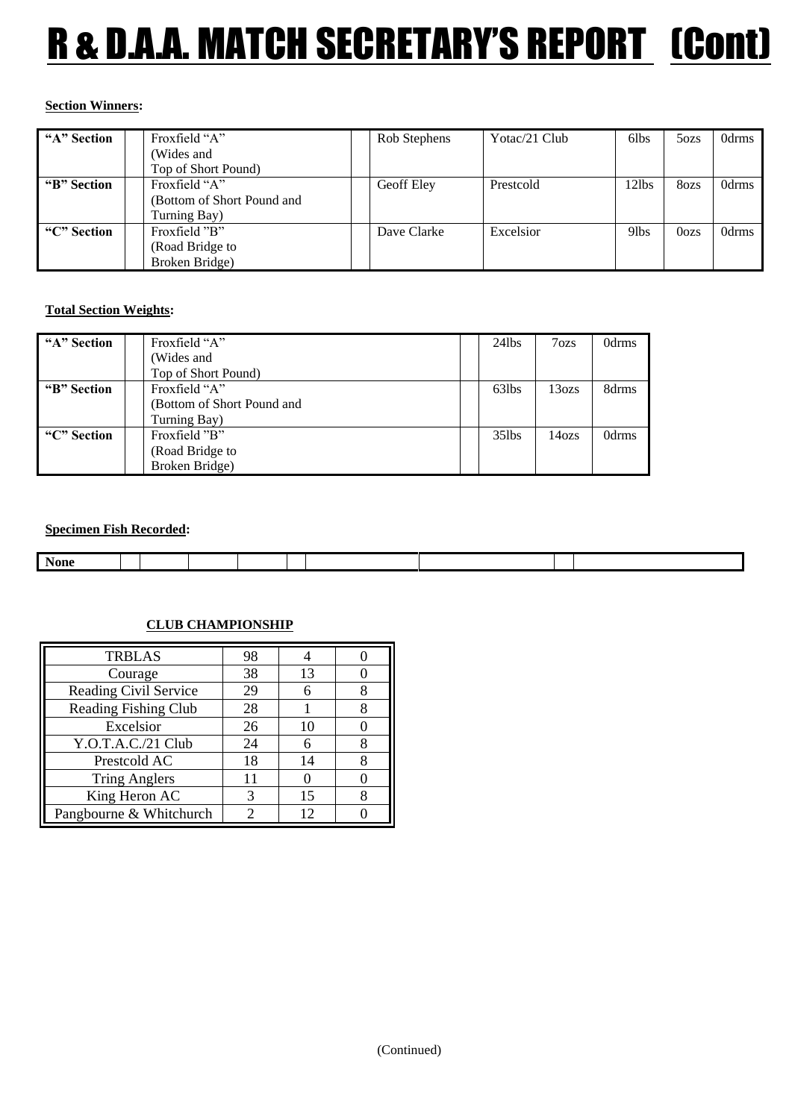# R & D.A.A. MATCH SECRETARY'S REPORT (Cont)

#### **Section Winners:**

| "A" Section | Froxfield "A"              |  | Rob Stephens | Yotac/21 Club | 6lbs             | 5ozs             | 0drms |
|-------------|----------------------------|--|--------------|---------------|------------------|------------------|-------|
|             | (Wides and                 |  |              |               |                  |                  |       |
|             | Top of Short Pound)        |  |              |               |                  |                  |       |
| "B" Section | Froxfield "A"              |  | Geoff Elev   | Prestcold     | 12lbs            | 8ozs             | 0drms |
|             | (Bottom of Short Pound and |  |              |               |                  |                  |       |
|             | Turning Bay)               |  |              |               |                  |                  |       |
| "C" Section | Froxfield "B"              |  | Dave Clarke  | Excelsior     | 9 <sub>lbs</sub> | 0 <sub>ozs</sub> | 0drms |
|             | (Road Bridge to            |  |              |               |                  |                  |       |
|             | Broken Bridge)             |  |              |               |                  |                  |       |

#### **Total Section Weights:**

| "A" Section | Froxfield "A"              | $24$ lbs | $7\alpha$ | 0drms |
|-------------|----------------------------|----------|-----------|-------|
|             | (Wides and                 |          |           |       |
|             | Top of Short Pound)        |          |           |       |
| "B" Section | Froxfield "A"              | 63lbs    | 13ozs     | 8drms |
|             | (Bottom of Short Pound and |          |           |       |
|             | Turning Bay)               |          |           |       |
| "C" Section | Froxfield "B"              | $35$ lbs | 14ozs     | 0drms |
|             | (Road Bridge to            |          |           |       |
|             | Broken Bridge)             |          |           |       |

#### **Specimen Fish Recorded:**

| <b>None</b> |  |  |  |  |  |
|-------------|--|--|--|--|--|
|             |  |  |  |  |  |

### **CLUB CHAMPIONSHIP**

| <b>TRBLAS</b>                | 98 |    |  |
|------------------------------|----|----|--|
| Courage                      | 38 | 13 |  |
| <b>Reading Civil Service</b> | 29 | 6  |  |
| <b>Reading Fishing Club</b>  | 28 |    |  |
| Excelsior                    | 26 | 10 |  |
| Y.O.T.A.C./21 Club           | 24 |    |  |
| Prestcold AC                 | 18 | 14 |  |
| <b>Tring Anglers</b>         | 11 |    |  |
| King Heron AC                | 3  | 15 |  |
| Pangbourne & Whitchurch      |    | 12 |  |